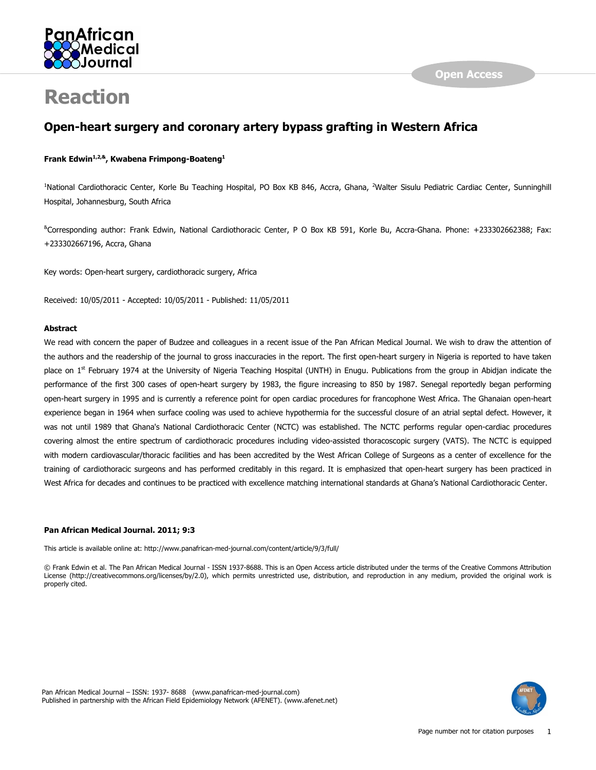

# Reaction

## Open-heart surgery and coronary artery bypass grafting in Western Africa

### Frank Edwin<sup>1,2,&</sup>, Kwabena Frimpong-Boateng<sup>1</sup>

<sup>1</sup>National Cardiothoracic Center, Korle Bu Teaching Hospital, PO Box KB 846, Accra, Ghana, <sup>2</sup>Walter Sisulu Pediatric Cardiac Center, Sunninghill Hospital, Johannesburg, South Africa

&Corresponding author: Frank Edwin, National Cardiothoracic Center, P O Box KB 591, Korle Bu, Accra-Ghana. Phone: +233302662388; Fax: +233302667196, Accra, Ghana

Key words: Open-heart surgery, cardiothoracic surgery, Africa

Received: 10/05/2011 - Accepted: 10/05/2011 - Published: 11/05/2011

#### Abstract

We read with concern the paper of Budzee and colleagues in a recent issue of the Pan African Medical Journal. We wish to draw the attention of the authors and the readership of the journal to gross inaccuracies in the report. The first open-heart surgery in Nigeria is reported to have taken place on  $1<sup>st</sup>$  February 1974 at the University of Nigeria Teaching Hospital (UNTH) in Enugu. Publications from the group in Abidjan indicate the performance of the first 300 cases of open-heart surgery by 1983, the figure increasing to 850 by 1987. Senegal reportedly began performing open-heart surgery in 1995 and is currently a reference point for open cardiac procedures for francophone West Africa. The Ghanaian open-heart experience began in 1964 when surface cooling was used to achieve hypothermia for the successful closure of an atrial septal defect. However, it was not until 1989 that Ghana's National Cardiothoracic Center (NCTC) was established. The NCTC performs regular open-cardiac procedures covering almost the entire spectrum of cardiothoracic procedures including video-assisted thoracoscopic surgery (VATS). The NCTC is equipped with modern cardiovascular/thoracic facilities and has been accredited by the West African College of Surgeons as a center of excellence for the training of cardiothoracic surgeons and has performed creditably in this regard. It is emphasized that open-heart surgery has been practiced in West Africa for decades and continues to be practiced with excellence matching international standards at Ghana's National Cardiothoracic Center.

#### Pan African Medical Journal. 2011; 9:3

This article is available online at: http://www.panafrican-med-journal.com/content/article/9/3/full/

© Frank Edwin et al. The Pan African Medical Journal - ISSN 1937-8688. This is an Open Access article distributed under the terms of the Creative Commons Attribution License (http://creativecommons.org/licenses/by/2.0), which permits unrestricted use, distribution, and reproduction in any medium, provided the original work is properly cited.

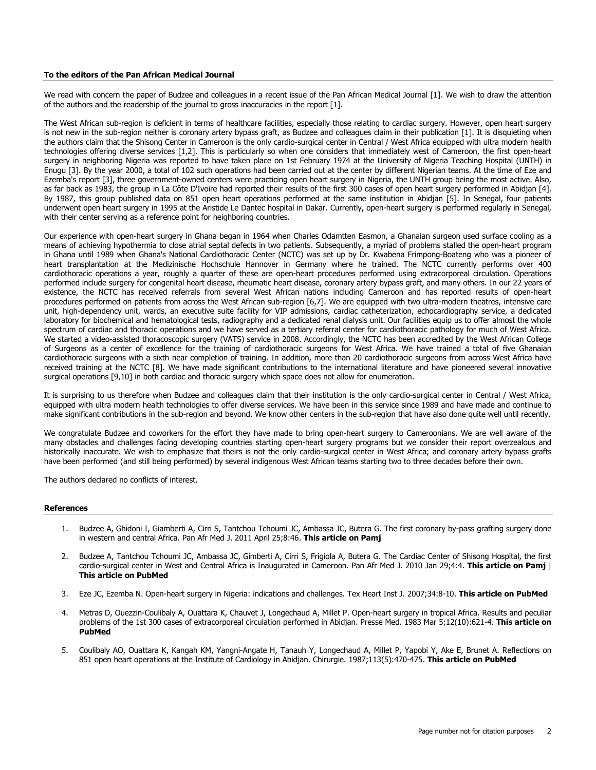#### To the editors of the Pan African Medical Journal

We read with concern the paper of Budzee and colleagues in a recent issue of the Pan African Medical Journal [1]. We wish to draw the attention of the authors and the readership of the journal to gross inaccuracies in the report [1].

The West African sub-region is deficient in terms of healthcare facilities, especially those relating to cardiac surgery. However, open heart surgery is not new in the sub-region neither is coronary artery bypass graft, as Budzee and colleagues claim in their publication [1]. It is disquieting when the authors claim that the Shisong Center in Cameroon is the only cardio-surgical center in Central / West Africa equipped with ultra modern health technologies offering diverse services [1,2]. This is particularly so when one considers that immediately west of Cameroon, the first open-heart surgery in neighboring Nigeria was reported to have taken place on 1st February 1974 at the University of Nigeria Teaching Hospital (UNTH) in Enugu [3]. By the year 2000, a total of 102 such operations had been carried out at the center by different Nigerian teams. At the time of Eze and Ezemba's report [3], three government-owned centers were practicing open heart surgery in Nigeria, the UNTH group being the most active. Also, as far back as 1983, the group in La Côte D'Ivoire had reported their results of the first 300 cases of open heart surgery performed in Abidjan [4]. By 1987, this group published data on 851 open heart operations performed at the same institution in Abidjan [5]. In Senegal, four patients underwent open heart surgery in 1995 at the Aristide Le Dantec hospital in Dakar. Currently, open-heart surgery is performed regularly in Senegal, with their center serving as a reference point for neighboring countries.

Our experience with open-heart surgery in Ghana began in 1964 when Charles Odamtten Easmon, a Ghanaian surgeon used surface cooling as a means of achieving hypothermia to close atrial septal defects in two patients. Subsequently, a myriad of problems stalled the open-heart program in Ghana until 1989 when Ghana's National Cardiothoracic Center (NCTC) was set up by Dr. Kwabena Frimpong-Boateng who was a pioneer of heart transplantation at the Medizinische Hochschule Hannover in Germany where he trained. The NCTC currently performs over 400 cardiothoracic operations a year, roughly a quarter of these are open-heart procedures performed using extracorporeal circulation. Operations performed include surgery for congenital heart disease, rheumatic heart disease, coronary artery bypass graft, and many others. In our 22 years of existence, the NCTC has received referrals from several West African nations including Cameroon and has reported results of open-heart procedures performed on patients from across the West African sub-region [6,7]. We are equipped with two ultra-modern theatres, intensive care unit, high-dependency unit, wards, an executive suite facility for VIP admissions, cardiac catheterization, echocardiography service, a dedicated laboratory for biochemical and hematological tests, radiography and a dedicated renal dialysis unit. Our facilities equip us to offer almost the whole spectrum of cardiac and thoracic operations and we have served as a tertiary referral center for cardiothoracic pathology for much of West Africa. We started a video-assisted thoracoscopic surgery (VATS) service in 2008. Accordingly, the NCTC has been accredited by the West African College of Surgeons as a center of excellence for the training of cardiothoracic surgeons for West Africa. We have trained a total of five Ghanaian cardiothoracic surgeons with a sixth near completion of training. In addition, more than 20 cardiothoracic surgeons from across West Africa have received training at the NCTC [8]. We have made significant contributions to the international literature and have pioneered several innovative surgical operations [9,10] in both cardiac and thoracic surgery which space does not allow for enumeration.

It is surprising to us therefore when Budzee and colleagues claim that their institution is the only cardio-surgical center in Central / West Africa, equipped with ultra modern health technologies to offer diverse services. We have been in this service since 1989 and have made and continue to make significant contributions in the sub-region and beyond. We know other centers in the sub-region that have also done quite well until recently.

We congratulate Budzee and coworkers for the effort they have made to bring open-heart surgery to Cameroonians. We are well aware of the many obstacles and challenges facing developing countries starting open-heart surgery programs but we consider their report overzealous and historically inaccurate. We wish to emphasize that theirs is not the only cardio-surgical center in West Africa; and coronary artery bypass grafts have been performed (and still being performed) by several indigenous West African teams starting two to three decades before their own.

The authors declared no conflicts of interest.

#### References

- 1. Budzee A, Ghidoni I, Giamberti A, Cirri S, Tantchou Tchoumi JC, Ambassa JC, Butera G. The first coronary by-pass grafting surgery done in western and central Africa. Pan Afr Med J. 2011 April 25;8:46. This article on Pamj
- 2. Budzee A, Tantchou Tchoumi JC, Ambassa JC, Gimberti A, Cirri S, Frigiola A, Butera G. The Cardiac Center of Shisong Hospital, the first cardio-surgical center in West and Central Africa is Inaugurated in Cameroon. Pan Afr Med J. 2010 Jan 29;4:4. This article on Pamj | This article on PubMed
- 3. Eze JC, Ezemba N. Open-heart surgery in Nigeria: indications and challenges. Tex Heart Inst J. 2007;34:8-10. This article on PubMed
- 4. Metras D, Ouezzin-Coulibaly A, Ouattara K, Chauvet J, Longechaud A, Millet P. Open-heart surgery in tropical Africa. Results and peculiar problems of the 1st 300 cases of extracorporeal circulation performed in Abidian. Presse Med. 1983 Mar 5;12(10):621-4. This article on PubMed
- 5. Coulibaly AO, Ouattara K, Kangah KM, Yangni-Angate H, Tanauh Y, Longechaud A, Millet P, Yapobi Y, Ake E, Brunet A. Reflections on 851 open heart operations at the Institute of Cardiology in Abidjan. Chirurgie. 1987;113(5):470-475. This article on PubMed